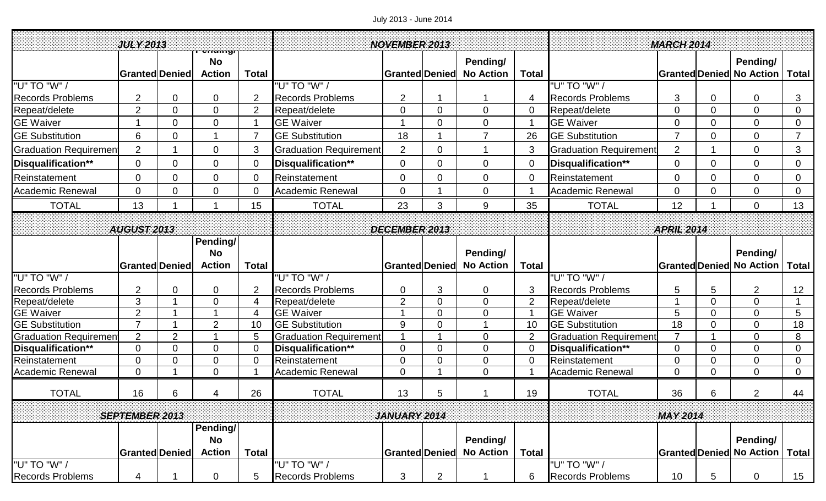## July 2013 - June 2014

| <b>JULY 2013</b>             |                                  |                  |                                |                |                               | <b>NOVEMBER 2013</b>  |                     |                  |                      |                               | <b>MARCH 2014</b>     |                |                                 |                 |
|------------------------------|----------------------------------|------------------|--------------------------------|----------------|-------------------------------|-----------------------|---------------------|------------------|----------------------|-------------------------------|-----------------------|----------------|---------------------------------|-----------------|
|                              |                                  |                  | <del>enamgi</del><br><b>No</b> |                |                               |                       |                     | Pending/         |                      |                               |                       |                | Pending/                        |                 |
|                              | <b>Granted Denied</b>            |                  | <b>Action</b>                  | <b>Total</b>   |                               | Granted Denied        |                     | <b>No Action</b> | <b>Total</b>         |                               |                       |                | <b>Granted Denied No Action</b> | <b>Total</b>    |
| "U" TO "W" /                 |                                  |                  |                                |                | "U" TO "W" /                  |                       |                     |                  |                      | "U" TO "W" /                  |                       |                |                                 |                 |
| <b>Records Problems</b>      | $\overline{2}$                   | $\mathbf 0$      | 0                              | $\overline{2}$ | <b>Records Problems</b>       | $\overline{2}$        |                     |                  | 4                    | <b>Records Problems</b>       | 3                     | $\overline{0}$ | $\mathbf 0$                     | 3               |
| Repeat/delete                | $\overline{2}$                   | $\overline{0}$   | $\overline{0}$                 | $\overline{2}$ | Repeat/delete                 | $\mathbf 0$           | $\overline{0}$      | $\overline{0}$   | $\overline{0}$       | Repeat/delete                 | $\overline{0}$        | $\overline{0}$ | $\overline{0}$                  | $\overline{0}$  |
| <b>GE Waiver</b>             |                                  | 0                | $\Omega$                       |                | <b>GE Waiver</b>              |                       | $\Omega$            | 0                |                      | <b>GE Waiver</b>              | $\Omega$              | $\overline{0}$ | $\mathbf 0$                     | $\overline{0}$  |
| <b>GE Substitution</b>       | $6\phantom{1}6$                  | $\mathbf 0$      |                                |                | <b>GE Substitution</b>        | 18                    |                     | $\overline{7}$   | 26                   | <b>GE Substitution</b>        | $\overline{7}$        | $\overline{0}$ | $\mathbf 0$                     | $\overline{7}$  |
| <b>Graduation Requiremen</b> | $\overline{2}$                   |                  | $\overline{0}$                 | 3              | <b>Graduation Requirement</b> | $\overline{2}$        | $\Omega$            |                  | 3                    | <b>Graduation Requirement</b> | $\overline{2}$        |                | $\mathbf 0$                     | 3               |
| Disqualification**           | $\overline{0}$                   | $\mathbf 0$      | 0                              | $\overline{0}$ | Disqualification**            | $\boldsymbol{0}$      | $\overline{0}$      | $\boldsymbol{0}$ | $\overline{0}$       | Disqualification**            | $\overline{0}$        | $\overline{0}$ | 0                               | $\overline{0}$  |
| Reinstatement                | $\overline{0}$                   | $\mathbf 0$      | $\overline{0}$                 | $\overline{0}$ | Reinstatement                 | $\mathbf 0$           | $\overline{0}$      | 0                | $\overline{0}$       | Reinstatement                 | $\overline{0}$        | $\overline{0}$ | $\mathbf 0$                     | 0               |
| <b>Academic Renewal</b>      | $\mathbf 0$                      | $\mathbf 0$      | $\overline{0}$                 | $\overline{0}$ | <b>Academic Renewal</b>       | $\overline{0}$        |                     | $\boldsymbol{0}$ |                      | <b>Academic Renewal</b>       | $\mathbf 0$           | $\overline{0}$ | $\overline{0}$                  | $\overline{0}$  |
| <b>TOTAL</b>                 | 13                               |                  |                                | 15             | <b>TOTAL</b>                  | 23                    | 3                   | 9                | 35                   | <b>TOTAL</b>                  | 12                    |                | $\overline{0}$                  | 13              |
|                              |                                  |                  |                                |                |                               |                       |                     |                  |                      |                               |                       |                |                                 |                 |
| AUGUST 2013                  |                                  |                  |                                |                | DECEMBER 2013                 |                       |                     |                  |                      | <b>APRIL 2014</b>             |                       |                |                                 |                 |
|                              |                                  |                  | Pending/                       |                |                               |                       |                     |                  |                      |                               |                       |                |                                 |                 |
|                              |                                  |                  | <b>No</b>                      |                |                               |                       |                     | Pending/         |                      |                               |                       |                | Pending/                        |                 |
|                              | <b>Granted Denied</b>            |                  | <b>Action</b>                  | <b>Total</b>   |                               | <b>Granted Denied</b> |                     | <b>No Action</b> | <b>Total</b>         |                               | <b>Granted Denied</b> |                | <b>No Action</b>                | <b>Total</b>    |
| "U" TO "W" /                 |                                  |                  |                                |                | "U" TO "W" /                  |                       |                     |                  |                      | "U" TO "W" /                  |                       |                |                                 |                 |
| <b>Records Problems</b>      | $\overline{2}$                   | $\mathbf 0$<br>1 | 0                              | $\overline{2}$ | <b>Records Problems</b>       | $\mathbf 0$           | 3                   | 0                | 3                    | <b>Records Problems</b>       | 5                     | 5              | $\overline{2}$                  | 12              |
| Repeat/delete                | 3                                |                  | $\overline{0}$                 | 4              | Repeat/delete                 | $\overline{2}$<br>1   | $\overline{0}$      | $\overline{0}$   | $\overline{2}$       | Repeat/delete                 |                       | $\overline{0}$ | $\mathbf 0$                     | $\mathbf 1$     |
| <b>GE</b> Waiver             | $\overline{2}$<br>$\overline{7}$ |                  |                                | 4              | <b>GE Waiver</b>              |                       | $\overline{0}$      | 0                |                      | <b>GE Waiver</b>              | 5                     | $\overline{0}$ | $\overline{0}$                  | 5               |
| <b>GE Substitution</b>       |                                  |                  | $\overline{2}$                 | 10             | <b>GE Substitution</b>        | 9                     | $\overline{0}$      |                  | 10                   | <b>GE Substitution</b>        | 18<br>$\overline{7}$  | $\overline{0}$ | $\mathbf 0$                     | 18              |
| <b>Graduation Requiremen</b> | $\overline{2}$                   | 2                |                                | 5              | <b>Graduation Requirement</b> | 1                     |                     | 0                | $\overline{2}$       | <b>Graduation Requirement</b> |                       |                | 0                               | 8               |
| Disqualification**           | $\overline{0}$                   | $\mathbf 0$      | $\overline{0}$                 | $\overline{0}$ | Disqualification**            | $\mathbf 0$           | $\overline{0}$      | $\overline{0}$   | $\overline{0}$       | Disqualification**            | $\overline{0}$        | $\overline{0}$ | 0                               | $\overline{0}$  |
| Reinstatement                | $\Omega$                         | $\mathbf 0$<br>1 | $\overline{0}$                 | $\overline{0}$ | Reinstatement                 | $\mathbf 0$           | $\overline{0}$<br>4 | $\overline{0}$   | $\overline{0}$<br>-1 | Reinstatement                 | $\Omega$              | $\overline{0}$ | $\overline{0}$                  | $\overline{0}$  |
| Academic Renewal             | $\overline{0}$                   |                  | $\mathbf 0$                    |                | <b>Academic Renewal</b>       | $\mathbf 0$           |                     | 0                |                      | <b>Academic Renewal</b>       | $\overline{0}$        | $\overline{0}$ | $\overline{0}$                  | $\overline{0}$  |
| <b>TOTAL</b>                 | 16                               | 6                | 4                              | 26             | <b>TOTAL</b>                  | 13                    | 5                   |                  | 19                   | <b>TOTAL</b>                  | 36                    | 6              | 2                               | 44              |
|                              |                                  |                  |                                |                |                               |                       |                     |                  |                      |                               |                       |                |                                 |                 |
|                              | <b>SEPTEMBER 2013</b>            |                  |                                |                |                               | <b>JANUARY 2014</b>   |                     |                  |                      |                               | <b>MAY 2014</b>       |                |                                 |                 |
|                              |                                  |                  | Pending/                       |                |                               |                       |                     |                  |                      |                               |                       |                |                                 |                 |
|                              |                                  |                  | <b>No</b>                      |                |                               |                       |                     | Pending/         |                      |                               |                       |                | Pending/                        |                 |
|                              | <b>Granted Denied</b>            |                  | <b>Action</b>                  | <b>Total</b>   |                               | <b>Granted Denied</b> |                     | <b>No Action</b> | <b>Total</b>         |                               | <b>Granted Denied</b> |                | <b>No Action</b>                | <b>Total</b>    |
| "U" TO "W" /                 |                                  |                  |                                |                | "U" TO "W" /                  |                       |                     |                  |                      | "U" TO "W" /                  |                       |                |                                 |                 |
| <b>Records Problems</b>      | 4                                |                  | $\overline{0}$                 | 5              | <b>Records Problems</b>       | 3                     | $\overline{2}$      |                  | 6                    | <b>Records Problems</b>       | 10                    | 5              | $\overline{0}$                  | 15 <sub>1</sub> |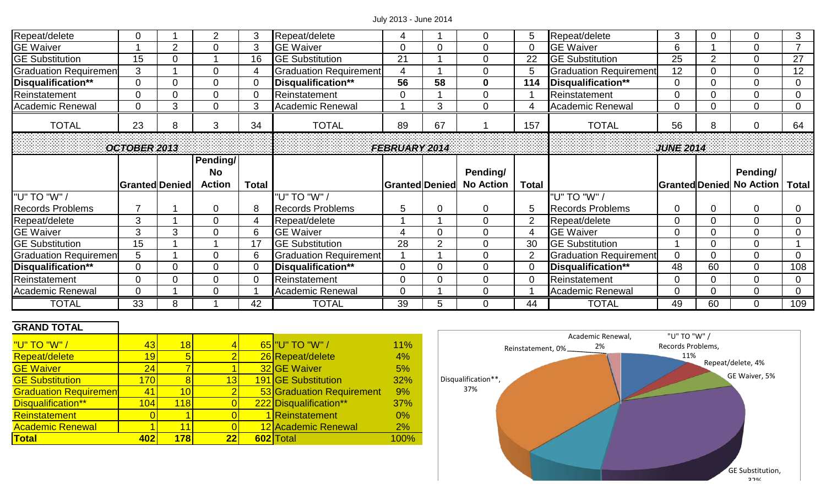## July 2013 - June 2014

| Repeat/delete                | 0                     |                | $\overline{2}$ | 3            | Repeat/delete           | 4                     |                | $\overline{0}$   | 5              | Repeat/delete                 | 3                |                | $\overline{0}$                   | 3              |
|------------------------------|-----------------------|----------------|----------------|--------------|-------------------------|-----------------------|----------------|------------------|----------------|-------------------------------|------------------|----------------|----------------------------------|----------------|
| <b>GE Waiver</b>             |                       | $\overline{2}$ | 0              | 3            | <b>GE Waiver</b>        | $\overline{0}$        | 0              | $\mathbf 0$      | $\overline{0}$ | <b>GE Waiver</b>              | 6                |                | $\overline{0}$                   |                |
| <b>GE Substitution</b>       | 15                    | 0              |                | 16           | <b>GE Substitution</b>  | 21                    |                | $\overline{0}$   | 22             | <b>GE Substitution</b>        | 25               | $\overline{2}$ | $\mathbf 0$                      | 27             |
| <b>Graduation Requiremen</b> | 3                     |                | 0              |              | Graduation Requirement  | $\overline{4}$        |                | $\mathbf 0$      | 5              | <b>Graduation Requirement</b> | 12               |                | $\mathbf{0}$                     | 12             |
| Disqualification**           | $\Omega$              | 0              | 0              |              | Disqualification**      | 56                    | 58             | $\mathbf 0$      | 114            | Disqualification**            | 0                |                | $\Omega$                         | $\Omega$       |
| Reinstatement                | O                     | 0              |                |              | Reinstatement           | $\overline{0}$        |                | $\mathbf 0$      |                | Reinstatement                 | 0                |                | $\overline{0}$                   |                |
| <b>Academic Renewal</b>      |                       | 3              | 0              | 3            | <b>Academic Renewal</b> |                       | 3              | $\mathbf 0$      | 4              | <b>Academic Renewal</b>       | 0                |                | $\mathbf 0$                      | $\mathbf 0$    |
| <b>TOTAL</b>                 | 23                    | 8              | 3              | 34           | <b>TOTAL</b>            | 89                    | 67             |                  | 157            | <b>TOTAL</b>                  | 56               | 8              | 0                                | 64             |
|                              | <b>OCTOBER 2013</b>   |                |                |              |                         | <b>FEBRUARY 2014</b>  |                |                  |                |                               | <b>JUNE 2014</b> |                |                                  |                |
|                              |                       |                | Pending/       |              |                         |                       |                |                  |                |                               |                  |                |                                  |                |
|                              |                       |                |                |              |                         |                       |                |                  |                |                               |                  |                |                                  |                |
|                              |                       |                | <b>No</b>      |              |                         |                       |                | Pending/         |                |                               |                  |                | Pending/                         |                |
|                              | <b>Granted Denied</b> |                | <b>Action</b>  | <b>Total</b> |                         | <b>Granted Denied</b> |                | <b>No Action</b> | <b>Total</b>   |                               |                  |                | <b>Stranted Denied No Action</b> | <b>Total</b>   |
| "U" TO "W" /                 |                       |                |                |              | "U" TO "W" /            |                       |                |                  |                | "U" TO "W" /                  |                  |                |                                  |                |
| <b>Records Problems</b>      |                       |                | 0              | 8            | <b>Records Problems</b> | 5                     | 0              | $\mathbf 0$      | 5              | <b>Records Problems</b>       | 0                | 0              | $\overline{0}$                   | 0              |
| Repeat/delete                | 3                     |                | 0              |              | Repeat/delete           |                       |                | $\mathbf 0$      | $\overline{2}$ | Repeat/delete                 | 0                |                | $\mathbf{0}$                     |                |
| <b>GE Waiver</b>             | 3                     | 3              | 0              | 6            | <b>GE Waiver</b>        | $\overline{4}$        | 0              | $\mathbf 0$      | 4              | <b>GE Waiver</b>              | 0                |                | $\overline{0}$                   | $\Omega$       |
| <b>GE Substitution</b>       | 15                    |                |                | 17           | <b>GE Substitution</b>  | 28                    | $\overline{2}$ | $\mathbf 0$      | 30             | <b>GE Substitution</b>        |                  |                | $\mathbf 0$                      |                |
| <b>Graduation Requiremen</b> | 5                     |                | 0              | 6            | Graduation Requirement  |                       |                | $\mathbf 0$      | 2              | <b>Graduation Requirement</b> | 0                | $\Omega$       | $\mathbf{0}$                     | $\Omega$       |
| Disqualification**           |                       | 0              | 0              |              | Disqualification**      | $\overline{0}$        | 0              | $\mathbf 0$      | $\overline{0}$ | Disqualification**            | 48               | 60             | $\mathbf{0}$                     | 108            |
| Reinstatement                | 0                     | 0              | 0              |              | Reinstatement           | $\overline{0}$        | 0              | $\overline{0}$   | $\overline{0}$ | Reinstatement                 | 0                |                | $\overline{0}$                   | $\overline{0}$ |
| <b>Academic Renewal</b>      | 0                     |                | 0              |              | <b>Academic Renewal</b> | $\mathbf 0$           |                | $\mathbf 0$      |                | <b>Academic Renewal</b>       | 0                | $\overline{0}$ | $\mathbf 0$                      | $\mathbf 0$    |

## **GRAND TOTAL**

| <u> "U" TO "W" /</u>         | 43  | 18              |    | 65 "U" TO "W" /           | 11%  |
|------------------------------|-----|-----------------|----|---------------------------|------|
| Repeat/delete                | 19  | 5               |    | 26 Repeat/delete          | 4%   |
| <b>GE Waiver</b>             | 24  |                 |    | 32 GE Waiver              | 5%   |
| <b>GE Substitution</b>       | 170 | 8               | 13 | 191 GE Substitution       | 32%  |
| <b>Graduation Requiremen</b> | 41  | 10 <sup>1</sup> | 2  | 53 Graduation Requirement | 9%   |
| Disqualification**           | 104 | 118             |    | 222 Disqualification**    | 37%  |
| <b>Reinstatement</b>         |     |                 |    | 1 Reinstatement           | 0%   |
| <b>Academic Renewal</b>      |     | 11              |    | 12 Academic Renewal       | 2%   |
| <b>Total</b>                 | 402 | 178             | 22 | 602 Total                 | 100% |